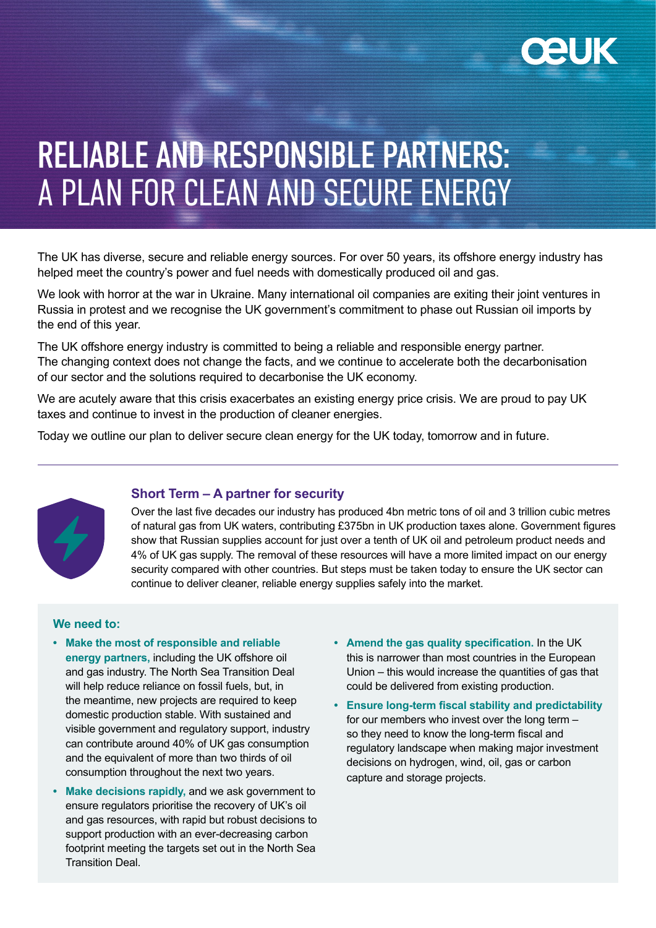

# RELIABLE AND RESPONSIBLE PARTNERS: A PLAN FOR CLEAN AND SECURE ENERGY

The UK has diverse, secure and reliable energy sources. For over 50 years, its offshore energy industry has helped meet the country's power and fuel needs with domestically produced oil and gas.

We look with horror at the war in Ukraine. Many international oil companies are exiting their joint ventures in Russia in protest and we recognise the UK government's commitment to phase out Russian oil imports by the end of this year.

The UK offshore energy industry is committed to being a reliable and responsible energy partner. The changing context does not change the facts, and we continue to accelerate both the decarbonisation of our sector and the solutions required to decarbonise the UK economy.

We are acutely aware that this crisis exacerbates an existing energy price crisis. We are proud to pay UK taxes and continue to invest in the production of cleaner energies.

Today we outline our plan to deliver secure clean energy for the UK today, tomorrow and in future.



# **Short Term – A partner for security**

Over the last five decades our industry has produced 4bn metric tons of oil and 3 trillion cubic metres of natural gas from UK waters, contributing £375bn in UK production taxes alone. Government figures show that Russian supplies account for just over a tenth of UK oil and petroleum product needs and 4% of UK gas supply. The removal of these resources will have a more limited impact on our energy security compared with other countries. But steps must be taken today to ensure the UK sector can continue to deliver cleaner, reliable energy supplies safely into the market.

## **We need to:**

- **• Make the most of responsible and reliable energy partners,** including the UK offshore oil and gas industry. The North Sea Transition Deal will help reduce reliance on fossil fuels, but, in the meantime, new projects are required to keep domestic production stable. With sustained and visible government and regulatory support, industry can contribute around 40% of UK gas consumption and the equivalent of more than two thirds of oil consumption throughout the next two years.
- **• Make decisions rapidly,** and we ask government to ensure regulators prioritise the recovery of UK's oil and gas resources, with rapid but robust decisions to support production with an ever-decreasing carbon footprint meeting the targets set out in the North Sea Transition Deal.
- **• Amend the gas quality specification.** In the UK this is narrower than most countries in the European Union – this would increase the quantities of gas that could be delivered from existing production.
- **• Ensure long-term fiscal stability and predictability**  for our members who invest over the long term – so they need to know the long-term fiscal and regulatory landscape when making major investment decisions on hydrogen, wind, oil, gas or carbon capture and storage projects.